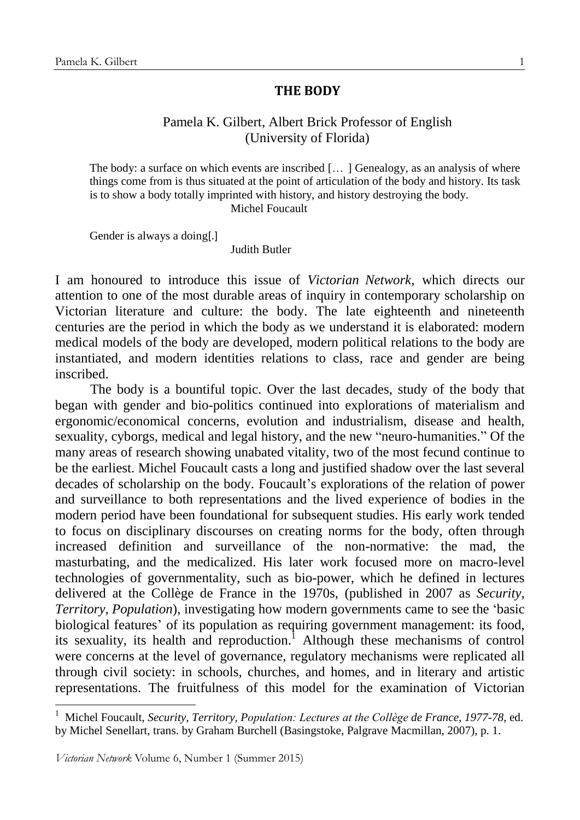## **THE BODY**

## Pamela K. Gilbert, Albert Brick Professor of English (University of Florida)

The body: a surface on which events are inscribed [...] Genealogy, as an analysis of where things come from is thus situated at the point of articulation of the body and history. Its task is to show a body totally imprinted with history, and history destroying the body. Michel Foucault

Gender is always a doing[.]

Judith Butler

I am honoured to introduce this issue of *Victorian Network*, which directs our attention to one of the most durable areas of inquiry in contemporary scholarship on Victorian literature and culture: the body. The late eighteenth and nineteenth centuries are the period in which the body as we understand it is elaborated: modern medical models of the body are developed, modern political relations to the body are instantiated, and modern identities relations to class, race and gender are being inscribed.

The body is a bountiful topic. Over the last decades, study of the body that began with gender and bio-politics continued into explorations of materialism and ergonomic/economical concerns, evolution and industrialism, disease and health, sexuality, cyborgs, medical and legal history, and the new "neuro-humanities." Of the many areas of research showing unabated vitality, two of the most fecund continue to be the earliest. Michel Foucault casts a long and justified shadow over the last several decades of scholarship on the body. Foucault's explorations of the relation of power and surveillance to both representations and the lived experience of bodies in the modern period have been foundational for subsequent studies. His early work tended to focus on disciplinary discourses on creating norms for the body, often through increased definition and surveillance of the non-normative: the mad, the masturbating, and the medicalized. His later work focused more on macro-level technologies of governmentality, such as bio-power, which he defined in lectures delivered at the Collège de France in the 1970s, (published in 2007 as *Security, Territory, Population*), investigating how modern governments came to see the 'basic biological features' of its population as requiring government management: its food, its sexuality, its health and reproduction.<sup>1</sup> Although these mechanisms of control were concerns at the level of governance, regulatory mechanisms were replicated all through civil society: in schools, churches, and homes, and in literary and artistic representations. The fruitfulness of this model for the examination of Victorian

<u>.</u>

<sup>1</sup> Michel Foucault, *Security, Territory, Population: Lectures at the Collège de France, 1977-78*, ed. by Michel Senellart, trans. by Graham Burchell (Basingstoke, Palgrave Macmillan, 2007), p. 1.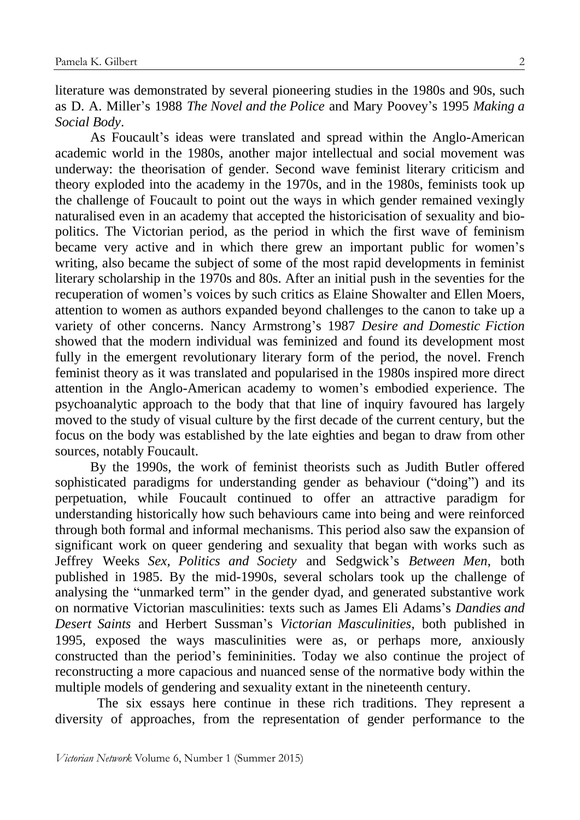literature was demonstrated by several pioneering studies in the 1980s and 90s, such as D. A. Miller's 1988 *The Novel and the Police* and Mary Poovey's 1995 *Making a Social Body*.

As Foucault's ideas were translated and spread within the Anglo-American academic world in the 1980s, another major intellectual and social movement was underway: the theorisation of gender. Second wave feminist literary criticism and theory exploded into the academy in the 1970s, and in the 1980s, feminists took up the challenge of Foucault to point out the ways in which gender remained vexingly naturalised even in an academy that accepted the historicisation of sexuality and biopolitics. The Victorian period, as the period in which the first wave of feminism became very active and in which there grew an important public for women's writing, also became the subject of some of the most rapid developments in feminist literary scholarship in the 1970s and 80s. After an initial push in the seventies for the recuperation of women's voices by such critics as Elaine Showalter and Ellen Moers, attention to women as authors expanded beyond challenges to the canon to take up a variety of other concerns. Nancy Armstrong's 1987 *Desire and Domestic Fiction* showed that the modern individual was feminized and found its development most fully in the emergent revolutionary literary form of the period, the novel. French feminist theory as it was translated and popularised in the 1980s inspired more direct attention in the Anglo-American academy to women's embodied experience. The psychoanalytic approach to the body that that line of inquiry favoured has largely moved to the study of visual culture by the first decade of the current century, but the focus on the body was established by the late eighties and began to draw from other sources, notably Foucault.

By the 1990s, the work of feminist theorists such as Judith Butler offered sophisticated paradigms for understanding gender as behaviour ("doing") and its perpetuation, while Foucault continued to offer an attractive paradigm for understanding historically how such behaviours came into being and were reinforced through both formal and informal mechanisms. This period also saw the expansion of significant work on queer gendering and sexuality that began with works such as Jeffrey Weeks *Sex, Politics and Society* and Sedgwick's *Between Men*, both published in 1985. By the mid-1990s, several scholars took up the challenge of analysing the "unmarked term" in the gender dyad, and generated substantive work on normative Victorian masculinities: texts such as James Eli Adams's *Dandies and Desert Saints* and Herbert Sussman's *Victorian Masculinities,* both published in 1995, exposed the ways masculinities were as, or perhaps more, anxiously constructed than the period's femininities. Today we also continue the project of reconstructing a more capacious and nuanced sense of the normative body within the multiple models of gendering and sexuality extant in the nineteenth century.

The six essays here continue in these rich traditions. They represent a diversity of approaches, from the representation of gender performance to the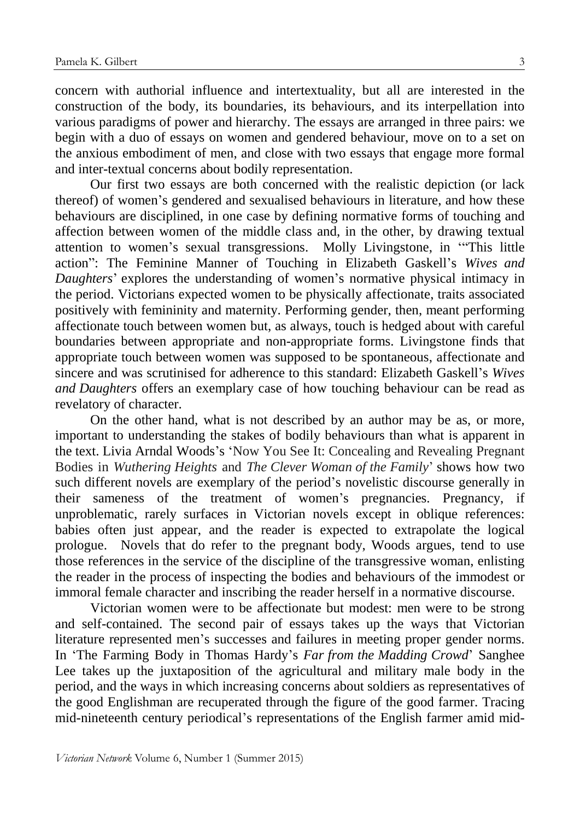concern with authorial influence and intertextuality, but all are interested in the construction of the body, its boundaries, its behaviours, and its interpellation into various paradigms of power and hierarchy. The essays are arranged in three pairs: we begin with a duo of essays on women and gendered behaviour, move on to a set on the anxious embodiment of men, and close with two essays that engage more formal and inter-textual concerns about bodily representation.

Our first two essays are both concerned with the realistic depiction (or lack thereof) of women's gendered and sexualised behaviours in literature, and how these behaviours are disciplined, in one case by defining normative forms of touching and affection between women of the middle class and, in the other, by drawing textual attention to women's sexual transgressions. Molly Livingstone, in '"This little action": The Feminine Manner of Touching in Elizabeth Gaskell's *Wives and Daughters*' explores the understanding of women's normative physical intimacy in the period. Victorians expected women to be physically affectionate, traits associated positively with femininity and maternity. Performing gender, then, meant performing affectionate touch between women but, as always, touch is hedged about with careful boundaries between appropriate and non-appropriate forms. Livingstone finds that appropriate touch between women was supposed to be spontaneous, affectionate and sincere and was scrutinised for adherence to this standard: Elizabeth Gaskell's *Wives and Daughters* offers an exemplary case of how touching behaviour can be read as revelatory of character.

On the other hand, what is not described by an author may be as, or more, important to understanding the stakes of bodily behaviours than what is apparent in the text. Livia Arndal Woods's 'Now You See It: Concealing and Revealing Pregnant Bodies in *Wuthering Heights* and *The Clever Woman of the Family*' shows how two such different novels are exemplary of the period's novelistic discourse generally in their sameness of the treatment of women's pregnancies. Pregnancy, if unproblematic, rarely surfaces in Victorian novels except in oblique references: babies often just appear, and the reader is expected to extrapolate the logical prologue. Novels that do refer to the pregnant body, Woods argues, tend to use those references in the service of the discipline of the transgressive woman, enlisting the reader in the process of inspecting the bodies and behaviours of the immodest or immoral female character and inscribing the reader herself in a normative discourse.

Victorian women were to be affectionate but modest: men were to be strong and self-contained. The second pair of essays takes up the ways that Victorian literature represented men's successes and failures in meeting proper gender norms. In 'The Farming Body in Thomas Hardy's *Far from the Madding Crowd*' Sanghee Lee takes up the juxtaposition of the agricultural and military male body in the period, and the ways in which increasing concerns about soldiers as representatives of the good Englishman are recuperated through the figure of the good farmer. Tracing mid-nineteenth century periodical's representations of the English farmer amid mid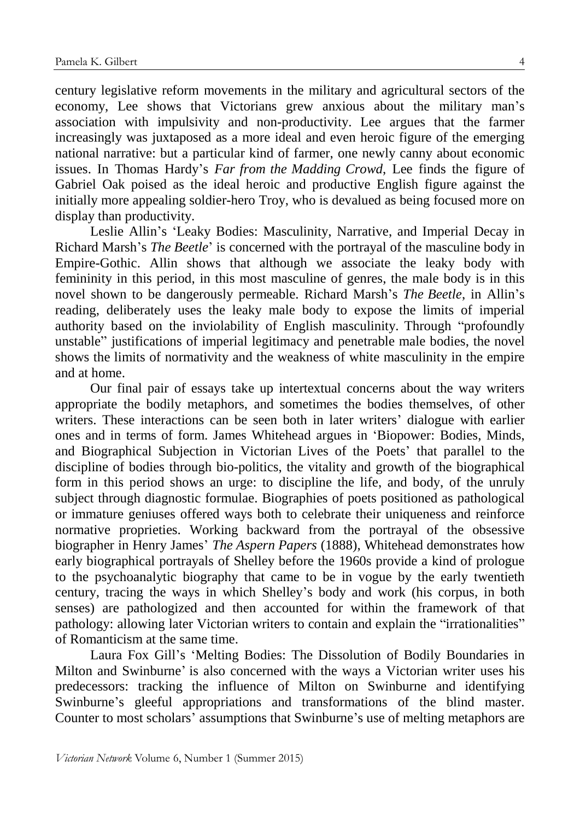century legislative reform movements in the military and agricultural sectors of the economy, Lee shows that Victorians grew anxious about the military man's association with impulsivity and non-productivity. Lee argues that the farmer increasingly was juxtaposed as a more ideal and even heroic figure of the emerging national narrative: but a particular kind of farmer, one newly canny about economic issues. In Thomas Hardy's *Far from the Madding Crowd*, Lee finds the figure of Gabriel Oak poised as the ideal heroic and productive English figure against the initially more appealing soldier-hero Troy, who is devalued as being focused more on display than productivity.

Leslie Allin's 'Leaky Bodies: Masculinity, Narrative, and Imperial Decay in Richard Marsh's *The Beetle*' is concerned with the portrayal of the masculine body in Empire-Gothic. Allin shows that although we associate the leaky body with femininity in this period, in this most masculine of genres, the male body is in this novel shown to be dangerously permeable. Richard Marsh's *The Beetle*, in Allin's reading, deliberately uses the leaky male body to expose the limits of imperial authority based on the inviolability of English masculinity. Through "profoundly unstable" justifications of imperial legitimacy and penetrable male bodies, the novel shows the limits of normativity and the weakness of white masculinity in the empire and at home.

Our final pair of essays take up intertextual concerns about the way writers appropriate the bodily metaphors, and sometimes the bodies themselves, of other writers. These interactions can be seen both in later writers' dialogue with earlier ones and in terms of form. James Whitehead argues in 'Biopower: Bodies, Minds, and Biographical Subjection in Victorian Lives of the Poets' that parallel to the discipline of bodies through bio-politics, the vitality and growth of the biographical form in this period shows an urge: to discipline the life, and body, of the unruly subject through diagnostic formulae. Biographies of poets positioned as pathological or immature geniuses offered ways both to celebrate their uniqueness and reinforce normative proprieties. Working backward from the portrayal of the obsessive biographer in Henry James' *The Aspern Papers* (1888), Whitehead demonstrates how early biographical portrayals of Shelley before the 1960s provide a kind of prologue to the psychoanalytic biography that came to be in vogue by the early twentieth century, tracing the ways in which Shelley's body and work (his corpus, in both senses) are pathologized and then accounted for within the framework of that pathology: allowing later Victorian writers to contain and explain the "irrationalities" of Romanticism at the same time.

Laura Fox Gill's 'Melting Bodies: The Dissolution of Bodily Boundaries in Milton and Swinburne' is also concerned with the ways a Victorian writer uses his predecessors: tracking the influence of Milton on Swinburne and identifying Swinburne's gleeful appropriations and transformations of the blind master. Counter to most scholars' assumptions that Swinburne's use of melting metaphors are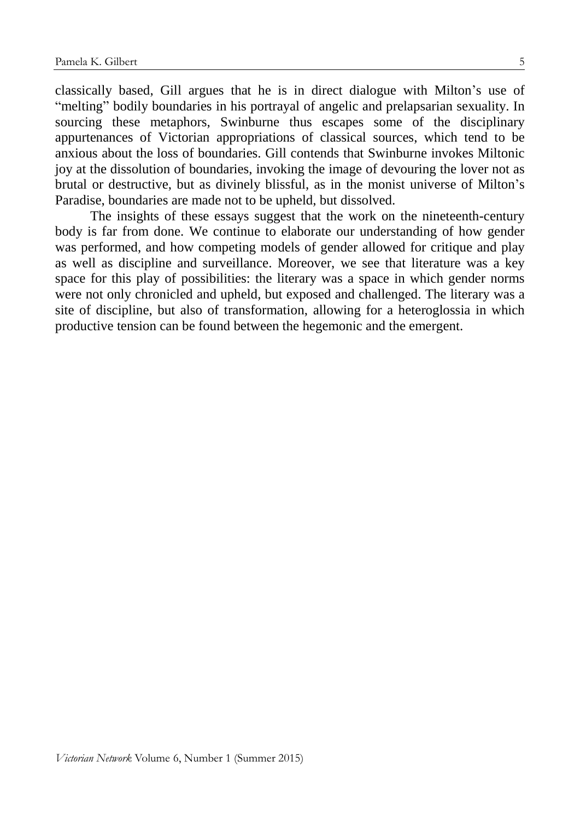classically based, Gill argues that he is in direct dialogue with Milton's use of "melting" bodily boundaries in his portrayal of angelic and prelapsarian sexuality. In sourcing these metaphors, Swinburne thus escapes some of the disciplinary appurtenances of Victorian appropriations of classical sources, which tend to be anxious about the loss of boundaries. Gill contends that Swinburne invokes Miltonic joy at the dissolution of boundaries, invoking the image of devouring the lover not as brutal or destructive, but as divinely blissful, as in the monist universe of Milton's Paradise, boundaries are made not to be upheld, but dissolved.

The insights of these essays suggest that the work on the nineteenth-century body is far from done. We continue to elaborate our understanding of how gender was performed, and how competing models of gender allowed for critique and play as well as discipline and surveillance. Moreover, we see that literature was a key space for this play of possibilities: the literary was a space in which gender norms were not only chronicled and upheld, but exposed and challenged. The literary was a site of discipline, but also of transformation, allowing for a heteroglossia in which productive tension can be found between the hegemonic and the emergent.